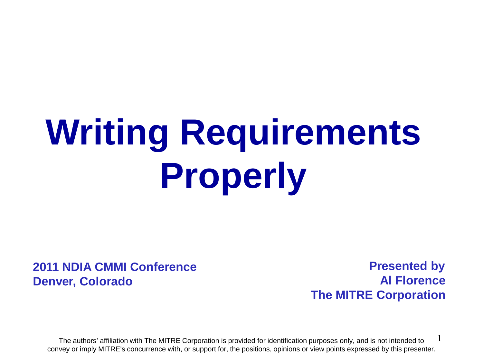# **Writing Requirements Properly**

#### **2011 NDIA CMMI Conference Denver, Colorado**

 **Presented by Al Florence The MITRE Corporation**

1 The authors' affiliation with The MITRE Corporation is provided for identification purposes only, and is not intended to convey or imply MITRE's concurrence with, or support for, the positions, opinions or view points expressed by this presenter.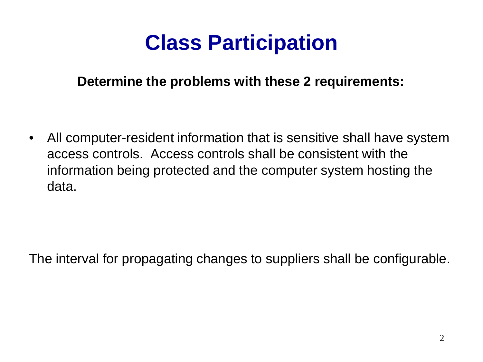# **Class Participation**

#### **Determine the problems with these 2 requirements:**

• All computer-resident information that is sensitive shall have system access controls. Access controls shall be consistent with the information being protected and the computer system hosting the data.

The interval for propagating changes to suppliers shall be configurable.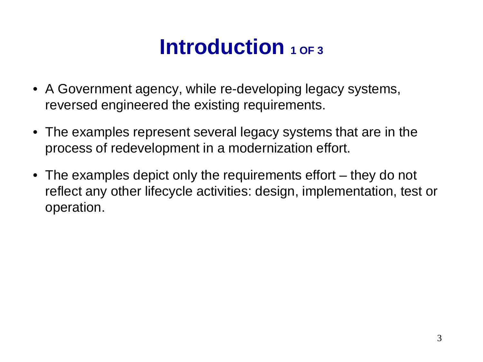# **Introduction** 1 OF 3

- A Government agency, while re-developing legacy systems, reversed engineered the existing requirements.
- The examples represent several legacy systems that are in the process of redevelopment in a modernization effort.
- The examples depict only the requirements effort they do not reflect any other lifecycle activities: design, implementation, test or operation.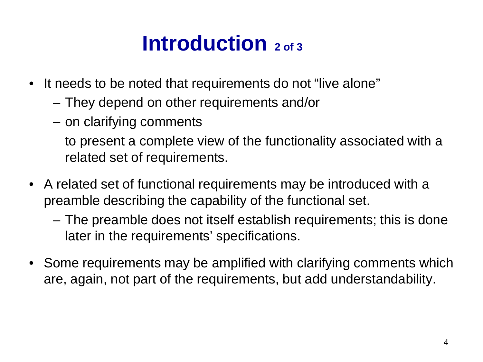# **Introduction** 2 of 3

- It needs to be noted that requirements do not "live alone"
	- They depend on other requirements and/or
	- on clarifying comments

to present a complete view of the functionality associated with a related set of requirements.

- A related set of functional requirements may be introduced with a preamble describing the capability of the functional set.
	- The preamble does not itself establish requirements; this is done later in the requirements' specifications.
- Some requirements may be amplified with clarifying comments which are, again, not part of the requirements, but add understandability.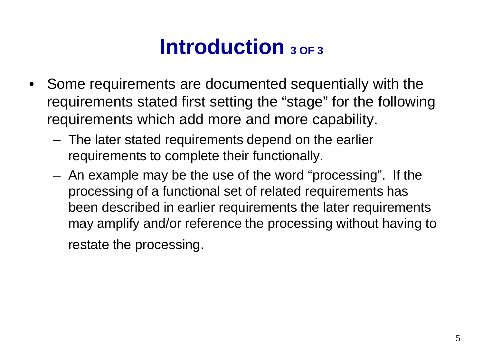# **Introduction** 3 OF 3

- Some requirements are documented sequentially with the requirements stated first setting the "stage" for the following requirements which add more and more capability.
	- The later stated requirements depend on the earlier requirements to complete their functionally.
	- An example may be the use of the word "processing". If the processing of a functional set of related requirements has been described in earlier requirements the later requirements may amplify and/or reference the processing without having to restate the processing.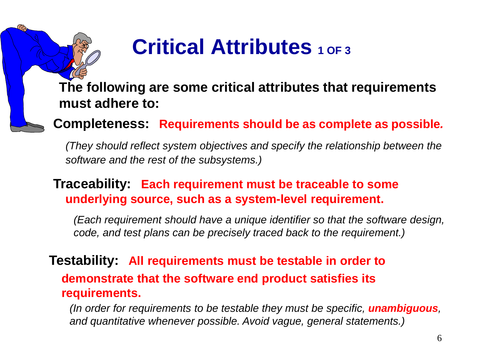# **Critical Attributes 1 OF 3**

**The following are some critical attributes that requirements must adhere to:**

**Completeness: Requirements should be as complete as possible***.*

*(They should reflect system objectives and specify the relationship between the software and the rest of the subsystems.)*

#### **Traceability: Each requirement must be traceable to some underlying source, such as a system-level requirement.**

*(Each requirement should have a unique identifier so that the software design, code, and test plans can be precisely traced back to the requirement.)*

#### **Testability: All requirements must be testable in order to demonstrate that the software end product satisfies its requirements.**

*(In order for requirements to be testable they must be specific, unambiguous, and quantitative whenever possible. Avoid vague, general statements.)*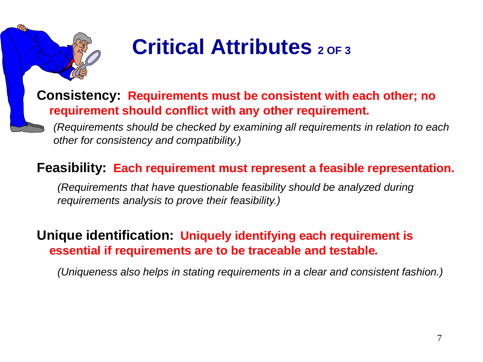

# **Critical Attributes 2 OF 3**

#### **Consistency: Requirements must be consistent with each other; no requirement should conflict with any other requirement***.*

*(Requirements should be checked by examining all requirements in relation to each other for consistency and compatibility.)*

#### **Feasibility: Each requirement must represent a feasible representation.**

*(Requirements that have questionable feasibility should be analyzed during requirements analysis to prove their feasibility.)*

#### **Unique identification: Uniquely identifying each requirement is essential if requirements are to be traceable and testable***.*

*(Uniqueness also helps in stating requirements in a clear and consistent fashion.)*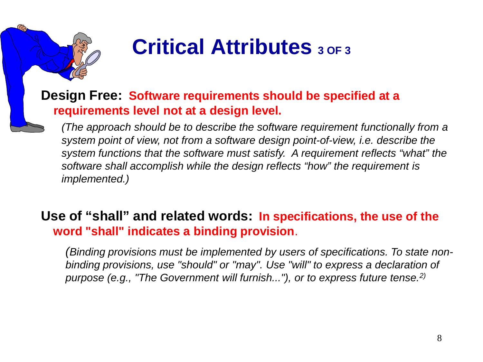

# **Critical Attributes 3 OF 3**

#### **Design Free: Software requirements should be specified at a requirements level not at a design level.**

*(The approach should be to describe the software requirement functionally from a system point of view, not from a software design point-of-view, i.e. describe the system functions that the software must satisfy. A requirement reflects "what" the software shall accomplish while the design reflects "how" the requirement is implemented.)*

#### **Use of "shall" and related words: In specifications, the use of the word "shall" indicates a binding provision**.

*(Binding provisions must be implemented by users of specifications. To state nonbinding provisions, use "should" or "may". Use "will" to express a declaration of purpose (e.g., "The Government will furnish..."), or to express future tense.2)*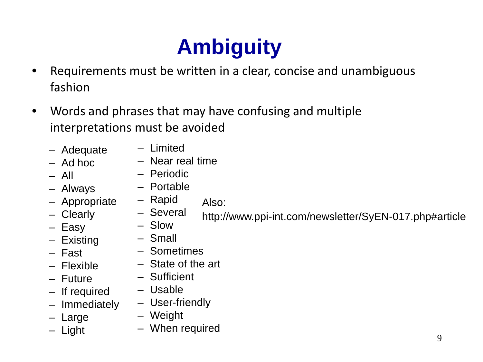# **Ambiguity**

- Requirements must be written in a clear, concise and unambiguous fashion
- Words and phrases that may have confusing and multiple interpretations must be avoided
	- Adequate
		- Limited – Near real time
	- Ad hoc – All
- Periodic
- Portable
- Always – Appropriate
- Rapid Also:
- Several – Slow http://www.ppi-int.com/newsletter/SyEN-017.php#article
- Easy
- Existing

– Clearly

- Fast
- Flexible
- Future
- If required
- Immediately
- Large
- Light
- Small
- Sometimes
- State of the art
- Sufficient
- Usable
- User-friendly
- Weight
- When required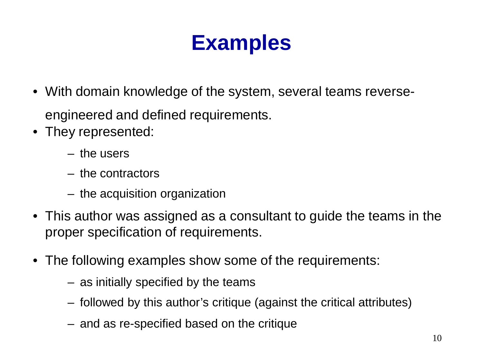- With domain knowledge of the system, several teams reverseengineered and defined requirements.
- They represented:
	- the users
	- the contractors
	- the acquisition organization
- This author was assigned as a consultant to guide the teams in the proper specification of requirements.
- The following examples show some of the requirements:
	- as initially specified by the teams
	- followed by this author's critique (against the critical attributes)
	- and as re-specified based on the critique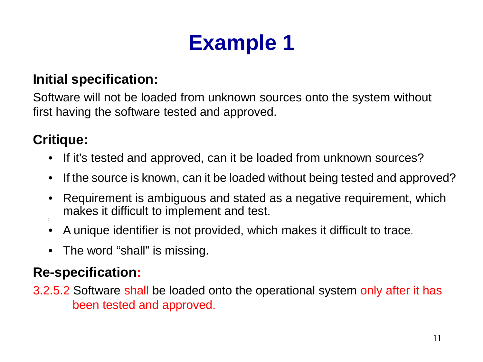#### **Initial specification:**

Software will not be loaded from unknown sources onto the system without first having the software tested and approved.

### **Critique:**

- If it's tested and approved, can it be loaded from unknown sources?
- If the source is known, can it be loaded without being tested and approved?
- Requirement is ambiguous and stated as a negative requirement, which makes it difficult to implement and test. •
- A unique identifier is not provided, which makes it difficult to trace.
- The word "shall" is missing.

### **Re-specification:**

3.2.5.2 Software shall be loaded onto the operational system only after it has been tested and approved.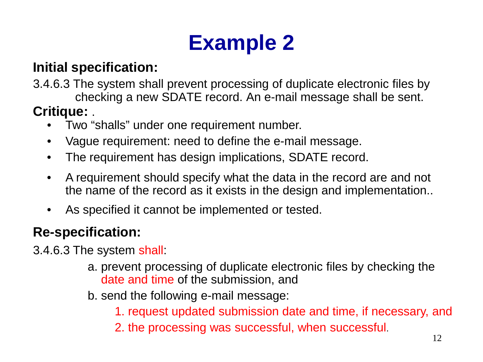### **Initial specification:**

3.4.6.3 The system shall prevent processing of duplicate electronic files by checking a new SDATE record. An e-mail message shall be sent.

#### **Critique:** .

- Two "shalls" under one requirement number.
- Vague requirement: need to define the e-mail message.
- The requirement has design implications, SDATE record.
- A requirement should specify what the data in the record are and not the name of the record as it exists in the design and implementation..
- As specified it cannot be implemented or tested.

### **Re-specification:**

3.4.6.3 The system shall:

- a. prevent processing of duplicate electronic files by checking the date and time of the submission, and
- b. send the following e-mail message:
	- 1. request updated submission date and time, if necessary, and
	- 2. the processing was successful, when successful.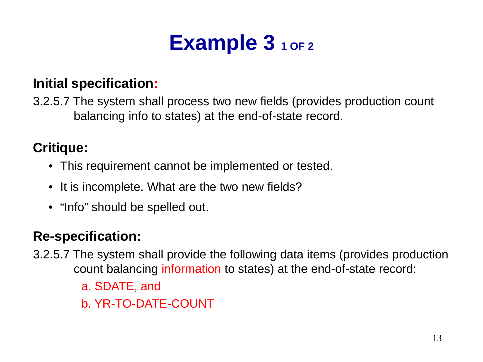# Example 3 1 OF 2

#### **Initial specification:**

3.2.5.7 The system shall process two new fields (provides production count balancing info to states) at the end-of-state record.

#### **Critique:**

- This requirement cannot be implemented or tested.
- It is incomplete. What are the two new fields?
- "Info" should be spelled out.

### **Re-specification:**

- 3.2.5.7 The system shall provide the following data items (provides production count balancing information to states) at the end-of-state record:
	- a. SDATE, and
	- b. YR-TO-DATE-COUNT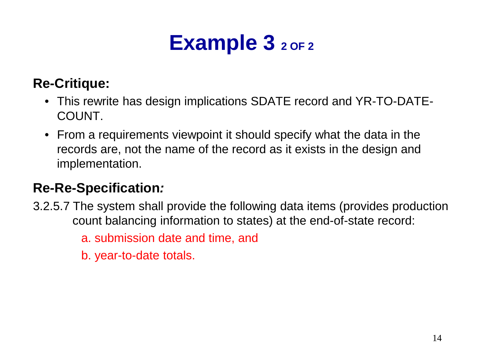# Example 3 2 OF 2

### **Re-Critique:**

- This rewrite has design implications SDATE record and YR-TO-DATE-COUNT.
- From a requirements viewpoint it should specify what the data in the records are, not the name of the record as it exists in the design and implementation.

#### **Re-Re-Specification***:*

3.2.5.7 The system shall provide the following data items (provides production count balancing information to states) at the end-of-state record:

a. submission date and time, and

b. year-to-date totals.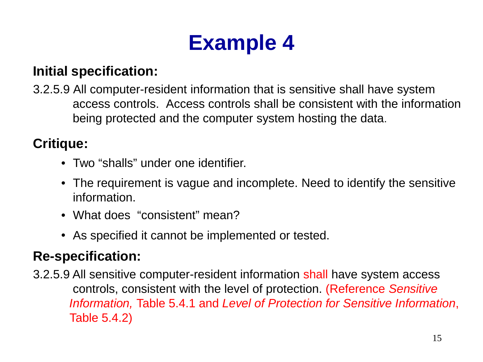#### **Initial specification:**

3.2.5.9 All computer-resident information that is sensitive shall have system access controls. Access controls shall be consistent with the information being protected and the computer system hosting the data.

#### **Critique:**

- Two "shalls" under one identifier.
- The requirement is vague and incomplete. Need to identify the sensitive information.
- What does "consistent" mean?
- As specified it cannot be implemented or tested.

### **Re-specification:**

3.2.5.9 All sensitive computer-resident information shall have system access controls, consistent with the level of protection. (Reference *Sensitive Information,* Table 5.4.1 and *Level of Protection for Sensitive Information*, Table 5.4.2)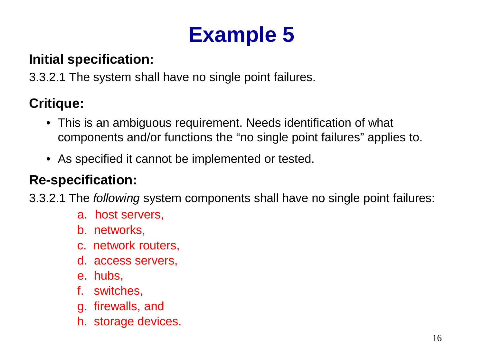#### **Initial specification:**

3.3.2.1 The system shall have no single point failures.

### **Critique:**

- This is an ambiguous requirement. Needs identification of what components and/or functions the "no single point failures" applies to.
- As specified it cannot be implemented or tested.

### **Re-specification:**

3.3.2.1 The *following* system components shall have no single point failures:

- a. host servers,
- b. networks,
- c. network routers,
- d. access servers,
- e. hubs,
- f. switches,
- g. firewalls, and
- h. storage devices.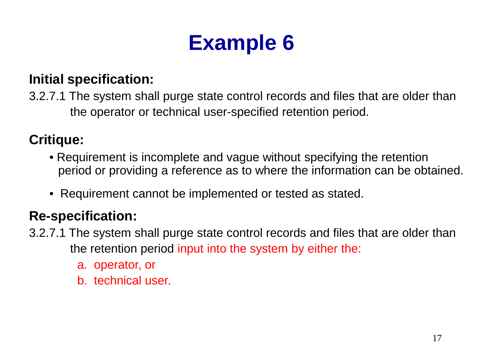#### **Initial specification:**

3.2.7.1 The system shall purge state control records and files that are older than the operator or technical user-specified retention period.

### **Critique:**

- Requirement is incomplete and vague without specifying the retention period or providing a reference as to where the information can be obtained.
- Requirement cannot be implemented or tested as stated.

### **Re-specification:**

- 3.2.7.1 The system shall purge state control records and files that are older than the retention period input into the system by either the:
	- a. operator, or
	- b. technical user.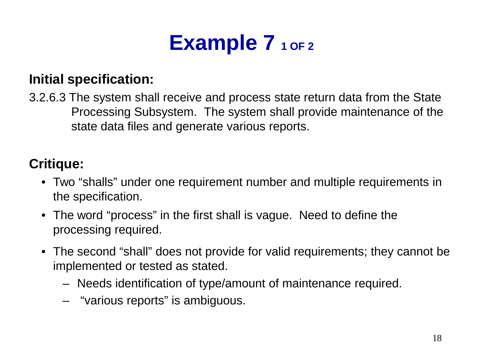# Example 7 1 OF 2

#### **Initial specification:**

3.2.6.3 The system shall receive and process state return data from the State Processing Subsystem. The system shall provide maintenance of the state data files and generate various reports.

### **Critique:**

- Two "shalls" under one requirement number and multiple requirements in the specification.
- The word "process" in the first shall is vague. Need to define the processing required.
- The second "shall" does not provide for valid requirements; they cannot be implemented or tested as stated.
	- Needs identification of type/amount of maintenance required.
	- "various reports" is ambiguous.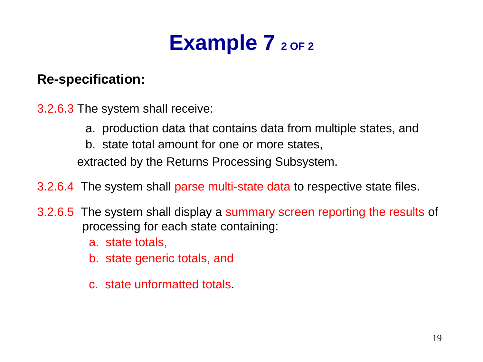# Example 7 2 OF 2

#### **Re-specification:**

3.2.6.3 The system shall receive:

- a. production data that contains data from multiple states, and
- b. state total amount for one or more states,

extracted by the Returns Processing Subsystem.

3.2.6.4 The system shall parse multi-state data to respective state files.

- 3.2.6.5 The system shall display a summary screen reporting the results of processing for each state containing:
	- a. state totals,
	- b. state generic totals, and
	- c. state unformatted totals.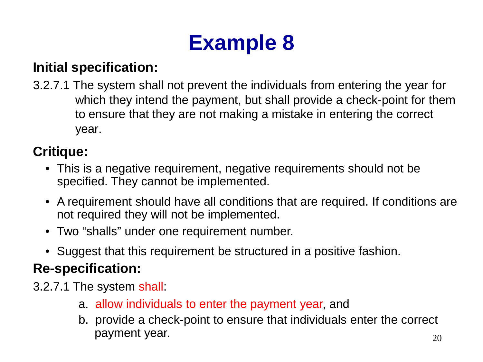### **Initial specification:**

3.2.7.1 The system shall not prevent the individuals from entering the year for which they intend the payment, but shall provide a check-point for them to ensure that they are not making a mistake in entering the correct year.

### **Critique:**

- This is a negative requirement, negative requirements should not be specified. They cannot be implemented.
- A requirement should have all conditions that are required. If conditions are not required they will not be implemented.
- Two "shalls" under one requirement number.
- Suggest that this requirement be structured in a positive fashion.

### **Re-specification:**

- 3.2.7.1 The system shall:
	- a. allow individuals to enter the payment year, and
	- 20 b. provide a check-point to ensure that individuals enter the correct payment year.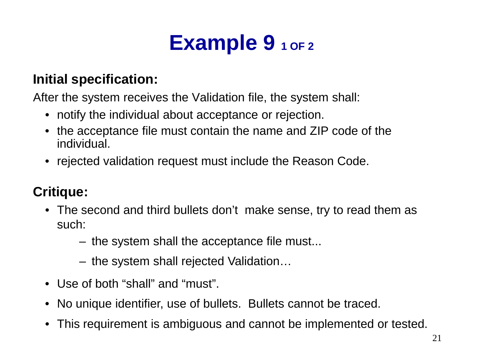# Example 9 1 OF 2

#### **Initial specification:**

After the system receives the Validation file, the system shall:

- notify the individual about acceptance or rejection.
- the acceptance file must contain the name and ZIP code of the individual.
- rejected validation request must include the Reason Code.

### **Critique:**

- The second and third bullets don't make sense, try to read them as such:
	- the system shall the acceptance file must...
	- the system shall rejected Validation…
- Use of both "shall" and "must".
- No unique identifier, use of bullets. Bullets cannot be traced.
- This requirement is ambiguous and cannot be implemented or tested.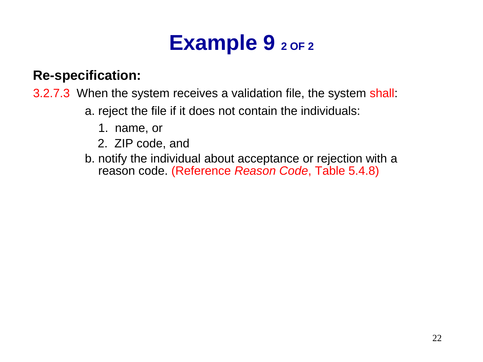# Example 9 2 OF 2

#### **Re-specification:**

3.2.7.3 When the system receives a validation file, the system shall:

- a. reject the file if it does not contain the individuals:
	- 1. name, or
	- 2. ZIP code, and
- b. notify the individual about acceptance or rejection with a reason code. (Reference *Reason Code*, Table 5.4.8)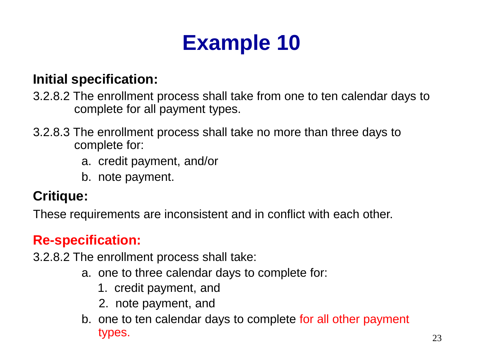#### **Initial specification:**

- 3.2.8.2 The enrollment process shall take from one to ten calendar days to complete for all payment types.
- 3.2.8.3 The enrollment process shall take no more than three days to complete for:
	- a. credit payment, and/or
	- b. note payment.

#### **Critique:**

These requirements are inconsistent and in conflict with each other.

### **Re-specification:**

3.2.8.2 The enrollment process shall take:

- a. one to three calendar days to complete for:
	- 1. credit payment, and
	- 2. note payment, and
- b. one to ten calendar days to complete for all other payment types.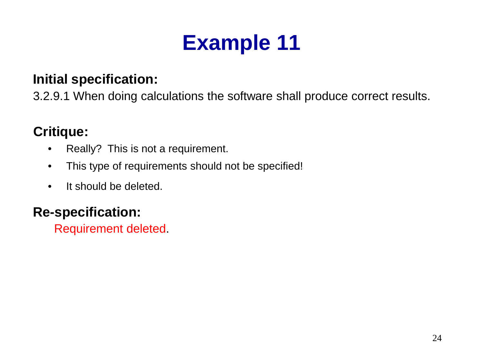#### **Initial specification:**

3.2.9.1 When doing calculations the software shall produce correct results.

### **Critique:**

- Really? This is not a requirement.
- This type of requirements should not be specified!
- It should be deleted.

### **Re-specification:**

Requirement deleted.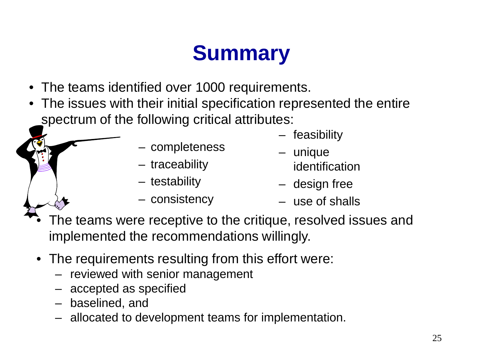# **Summary**

- The teams identified over 1000 requirements.
- The issues with their initial specification represented the entire spectrum of the following critical attributes:
	- completeness
	- traceability
	- testability
	- consistency
- feasibility
- unique identification
- design free
- use of shalls
- The teams were receptive to the critique, resolved issues and implemented the recommendations willingly.
- The requirements resulting from this effort were:
	- reviewed with senior management
	- accepted as specified
	- baselined, and
	- allocated to development teams for implementation.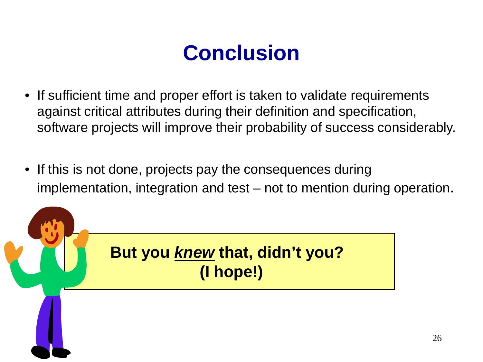# **Conclusion**

- If sufficient time and proper effort is taken to validate requirements against critical attributes during their definition and specification, software projects will improve their probability of success considerably.
- If this is not done, projects pay the consequences during implementation, integration and test – not to mention during operation.

**But you** *knew* **that, didn't you? (I hope!)**